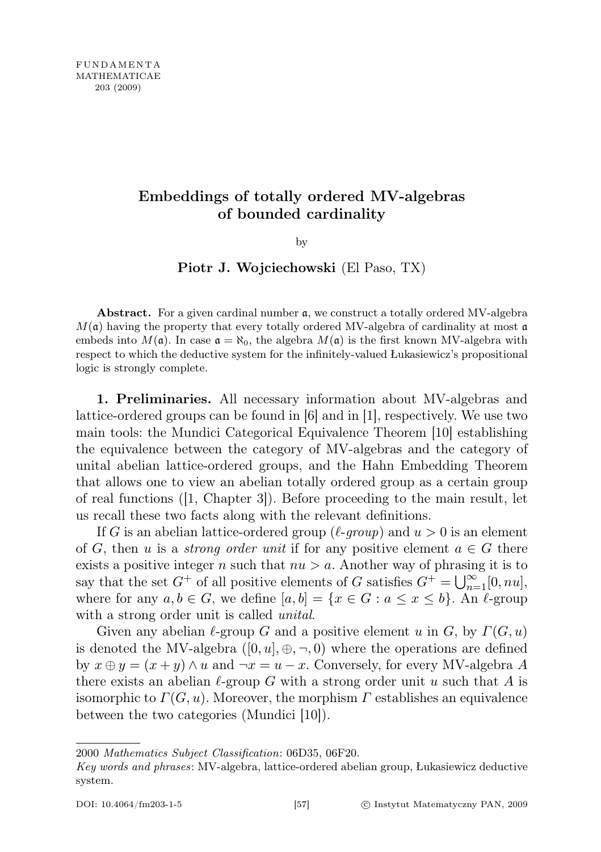# Embeddings of totally ordered MV-algebras of bounded cardinality

by

## Piotr J. Wojciechowski (El Paso, TX)

Abstract. For a given cardinal number a, we construct a totally ordered MV-algebra  $M(\mathfrak{a})$  having the property that every totally ordered MV-algebra of cardinality at most  $\mathfrak{a}$ embeds into  $M(\mathfrak{a})$ . In case  $\mathfrak{a} = \aleph_0$ , the algebra  $M(\mathfrak{a})$  is the first known MV-algebra with respect to which the deductive system for the infinitely-valued Łukasiewicz's propositional logic is strongly complete.

1. Preliminaries. All necessary information about MV-algebras and lattice-ordered groups can be found in [6] and in [1], respectively. We use two main tools: the Mundici Categorical Equivalence Theorem [10] establishing the equivalence between the category of MV-algebras and the category of unital abelian lattice-ordered groups, and the Hahn Embedding Theorem that allows one to view an abelian totally ordered group as a certain group of real functions ([1, Chapter 3]). Before proceeding to the main result, let us recall these two facts along with the relevant definitions.

If G is an abelian lattice-ordered group ( $\ell$ -group) and  $u > 0$  is an element of G, then u is a *strong order unit* if for any positive element  $a \in G$  there exists a positive integer n such that  $nu > a$ . Another way of phrasing it is to say that the set  $G^+$  of all positive elements of G satisfies  $G^+ = \bigcup_{n=1}^{\infty} [0, nu]$ , where for any  $a, b \in G$ , we define  $[a, b] = \{x \in G : a \leq x \leq b\}$ . An  $\ell$ -group with a strong order unit is called *unital*.

Given any abelian  $\ell$ -group G and a positive element u in G, by  $\Gamma(G, u)$ is denoted the MV-algebra  $([0, u], \oplus, \neg, 0)$  where the operations are defined by  $x \oplus y = (x + y) \wedge u$  and  $\neg x = u - x$ . Conversely, for every MV-algebra A there exists an abelian  $\ell$ -group G with a strong order unit u such that A is isomorphic to  $\Gamma(G, u)$ . Moreover, the morphism  $\Gamma$  establishes an equivalence between the two categories (Mundici [10]).

<sup>2000</sup> Mathematics Subject Classification: 06D35, 06F20.

Key words and phrases: MV-algebra, lattice-ordered abelian group, Łukasiewicz deductive system.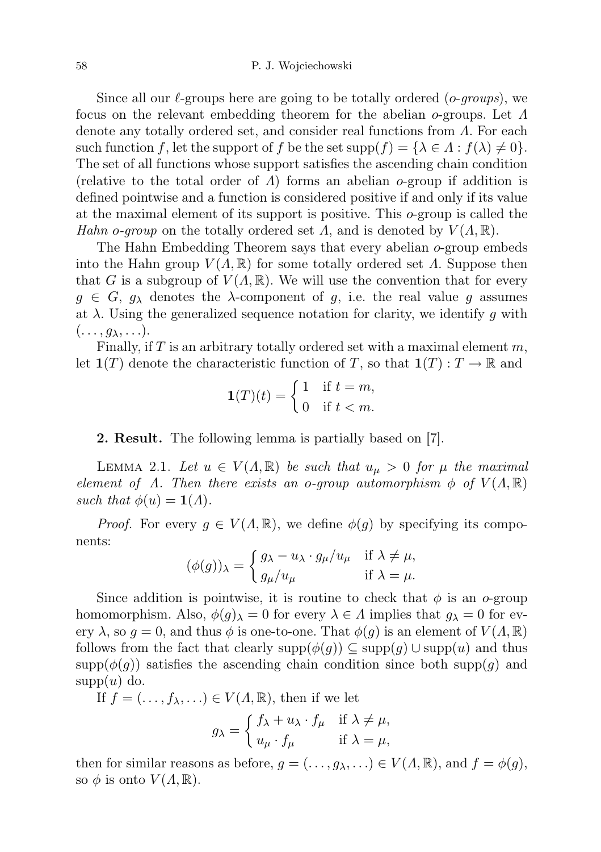### 58 P. J. Wojciechowski

Since all our  $\ell$ -groups here are going to be totally ordered (*o-groups*), we focus on the relevant embedding theorem for the abelian o-groups. Let Λ denote any totally ordered set, and consider real functions from Λ. For each such function f, let the support of f be the set  $supp(f) = {\lambda \in \Lambda : f(\lambda) \neq 0}.$ The set of all functions whose support satisfies the ascending chain condition (relative to the total order of  $\Lambda$ ) forms an abelian  $o$ -group if addition is defined pointwise and a function is considered positive if and only if its value at the maximal element of its support is positive. This o-group is called the Hahn o-group on the totally ordered set  $\Lambda$ , and is denoted by  $V(\Lambda,\mathbb{R})$ .

The Hahn Embedding Theorem says that every abelian o-group embeds into the Hahn group  $V(\Lambda,\mathbb{R})$  for some totally ordered set  $\Lambda$ . Suppose then that G is a subgroup of  $V(\Lambda,\mathbb{R})$ . We will use the convention that for every  $g \in G$ ,  $g_{\lambda}$  denotes the  $\lambda$ -component of g, i.e. the real value g assumes at  $\lambda$ . Using the generalized sequence notation for clarity, we identify g with  $(\ldots, g_{\lambda}, \ldots).$ 

Finally, if T is an arbitrary totally ordered set with a maximal element  $m$ , let  $\mathbf{1}(T)$  denote the characteristic function of T, so that  $\mathbf{1}(T): T \to \mathbb{R}$  and

$$
\mathbf{1}(T)(t) = \begin{cases} 1 & \text{if } t = m, \\ 0 & \text{if } t < m. \end{cases}
$$

### 2. Result. The following lemma is partially based on [7].

LEMMA 2.1. Let  $u \in V(\Lambda, \mathbb{R})$  be such that  $u_{\mu} > 0$  for  $\mu$  the maximal element of  $\Lambda$ . Then there exists an o-group automorphism  $\phi$  of  $V(\Lambda,\mathbb{R})$ such that  $\phi(u) = \mathbf{1}(A)$ .

*Proof.* For every  $g \in V(\Lambda, \mathbb{R})$ , we define  $\phi(g)$  by specifying its components:

$$
(\phi(g))_{\lambda} = \begin{cases} g_{\lambda} - u_{\lambda} \cdot g_{\mu}/u_{\mu} & \text{if } \lambda \neq \mu, \\ g_{\mu}/u_{\mu} & \text{if } \lambda = \mu. \end{cases}
$$

Since addition is pointwise, it is routine to check that  $\phi$  is an o-group homomorphism. Also,  $\phi(g)_{\lambda} = 0$  for every  $\lambda \in \Lambda$  implies that  $g_{\lambda} = 0$  for every  $\lambda$ , so  $g = 0$ , and thus  $\phi$  is one-to-one. That  $\phi(g)$  is an element of  $V(\Lambda, \mathbb{R})$ follows from the fact that clearly supp $(\phi(g)) \subseteq \text{supp}(g) \cup \text{supp}(u)$  and thus  $\text{supp}(\phi(g))$  satisfies the ascending chain condition since both  $\text{supp}(g)$  and  $supp(u)$  do.

If  $f = (\ldots, f_{\lambda}, \ldots) \in V(\Lambda, \mathbb{R})$ , then if we let

$$
g_{\lambda} = \begin{cases} f_{\lambda} + u_{\lambda} \cdot f_{\mu} & \text{if } \lambda \neq \mu, \\ u_{\mu} \cdot f_{\mu} & \text{if } \lambda = \mu, \end{cases}
$$

then for similar reasons as before,  $g = (\ldots, g_{\lambda}, \ldots) \in V(\Lambda, \mathbb{R})$ , and  $f = \phi(g)$ , so  $\phi$  is onto  $V(\Lambda,\mathbb{R})$ .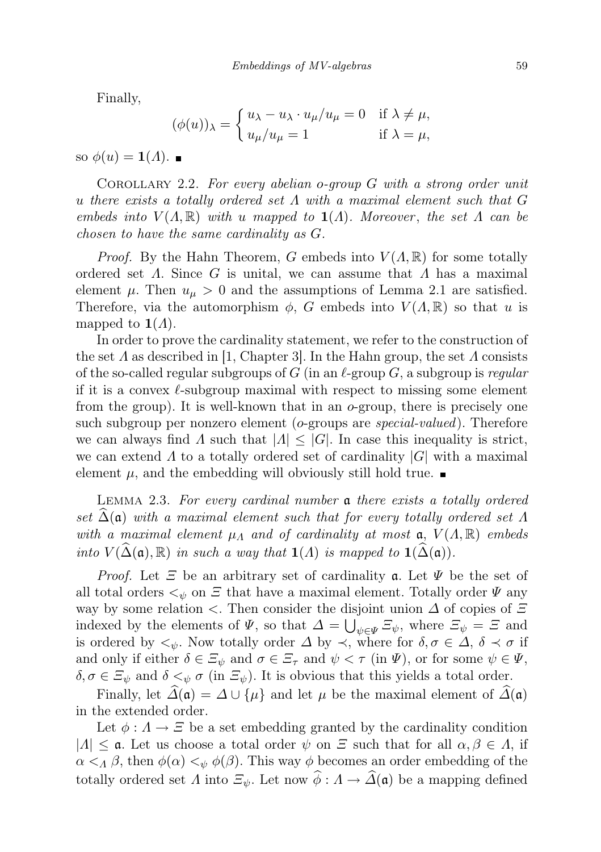Finally,

$$
(\phi(u))_{\lambda} = \begin{cases} u_{\lambda} - u_{\lambda} \cdot u_{\mu}/u_{\mu} = 0 & \text{if } \lambda \neq \mu, \\ u_{\mu}/u_{\mu} = 1 & \text{if } \lambda = \mu, \end{cases}
$$

so  $\phi(u) = \mathbf{1}(A)$ .

COROLLARY 2.2. For every abelian o-group  $G$  with a strong order unit u there exists a totally ordered set  $\Lambda$  with a maximal element such that G embeds into  $V(A, \mathbb{R})$  with u mapped to  $\mathbf{1}(A)$ . Moreover, the set  $\Lambda$  can be chosen to have the same cardinality as G.

*Proof.* By the Hahn Theorem, G embeds into  $V(\Lambda, \mathbb{R})$  for some totally ordered set  $\Lambda$ . Since G is unital, we can assume that  $\Lambda$  has a maximal element  $\mu$ . Then  $u_{\mu} > 0$  and the assumptions of Lemma 2.1 are satisfied. Therefore, via the automorphism  $\phi$ , G embeds into  $V(\Lambda,\mathbb{R})$  so that u is mapped to  $1(\Lambda)$ .

In order to prove the cardinality statement, we refer to the construction of the set  $\Lambda$  as described in [1, Chapter 3]. In the Hahn group, the set  $\Lambda$  consists of the so-called regular subgroups of G (in an  $\ell$ -group G, a subgroup is regular if it is a convex  $\ell$ -subgroup maximal with respect to missing some element from the group). It is well-known that in an  $o$ -group, there is precisely one such subgroup per nonzero element (*o*-groups are *special-valued*). Therefore we can always find  $\Lambda$  such that  $|\Lambda| \leq |G|$ . In case this inequality is strict, we can extend  $\Lambda$  to a totally ordered set of cardinality  $|G|$  with a maximal element  $\mu$ , and the embedding will obviously still hold true.

Lemma 2.3. For every cardinal number a there exists a totally ordered set  $\Delta(\mathfrak{a})$  with a maximal element such that for every totally ordered set  $\Lambda$ with a maximal element  $\mu_A$  and of cardinality at most  $\mathfrak{a}, V(A, \mathbb{R})$  embeds into  $V(\widehat{\Delta}(\mathfrak{a}), \mathbb{R})$  in such a way that  $\mathbf{1}(A)$  is mapped to  $\mathbf{1}(\widehat{\Delta}(\mathfrak{a}))$ .

*Proof.* Let  $\Xi$  be an arbitrary set of cardinality **a**. Let  $\Psi$  be the set of all total orders  $\lt_\psi$  on  $\Xi$  that have a maximal element. Totally order  $\Psi$  any way by some relation  $\lt$ . Then consider the disjoint union  $\Delta$  of copies of  $\Xi$ indexed by the elements of  $\Psi$ , so that  $\Delta = \bigcup_{\psi \in \Psi} \Xi_{\psi}$ , where  $\Xi_{\psi} = \Xi$  and is ordered by  $\lt_{\psi}$ . Now totally order  $\Delta$  by  $\prec$ , where for  $\delta, \sigma \in \Delta$ ,  $\delta \prec \sigma$  if and only if either  $\delta \in \Xi_{\psi}$  and  $\sigma \in \Xi_{\tau}$  and  $\psi < \tau$  (in  $\Psi$ ), or for some  $\psi \in \Psi$ ,  $\delta, \sigma \in \Xi_{\psi}$  and  $\delta <_{\psi} \sigma$  (in  $\Xi_{\psi}$ ). It is obvious that this yields a total order.

Finally, let  $\widehat{\Delta}(\mathfrak{a}) = \Delta \cup \{\mu\}$  and let  $\mu$  be the maximal element of  $\widehat{\Delta}(\mathfrak{a})$ in the extended order.

Let  $\phi: A \to \Xi$  be a set embedding granted by the cardinality condition  $|A| \leq \mathfrak{a}$ . Let us choose a total order  $\psi$  on  $\Xi$  such that for all  $\alpha, \beta \in A$ , if  $\alpha <_{\Lambda} \beta$ , then  $\phi(\alpha) <_{\psi} \phi(\beta)$ . This way  $\phi$  becomes an order embedding of the totally ordered set  $\Lambda$  into  $\Xi_{\psi}$ . Let now  $\widehat{\phi} : \Lambda \to \widehat{\Lambda}(\mathfrak{a})$  be a mapping defined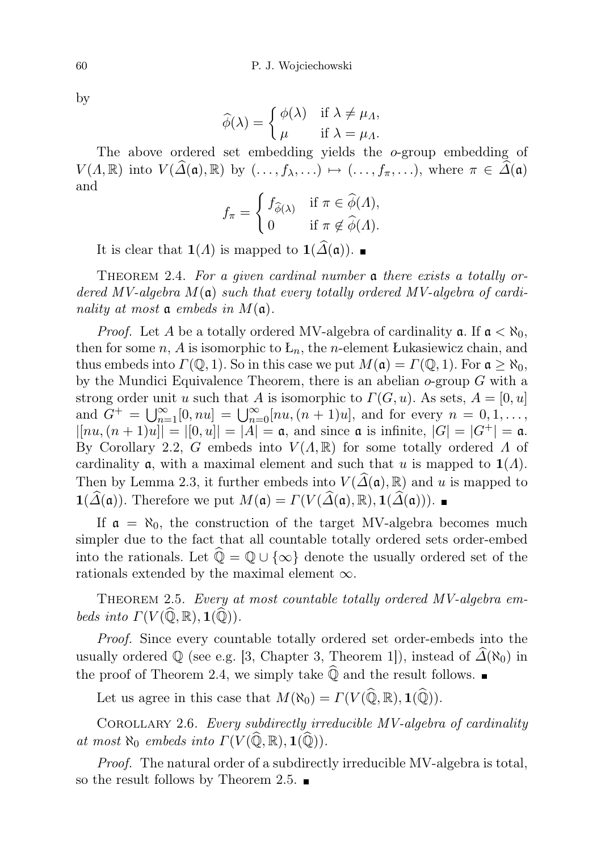by

$$
\widehat{\phi}(\lambda) = \begin{cases} \phi(\lambda) & \text{if } \lambda \neq \mu_{\Lambda}, \\ \mu & \text{if } \lambda = \mu_{\Lambda}. \end{cases}
$$

The above ordered set embedding yields the o-group embedding of  $V(\Lambda, \mathbb{R})$  into  $V(\widehat{\Delta}(\mathfrak{a}), \mathbb{R})$  by  $(\ldots, f_{\lambda}, \ldots) \mapsto (\ldots, f_{\pi}, \ldots)$ , where  $\pi \in \Delta(\mathfrak{a})$ and

$$
f_{\pi} = \begin{cases} f_{\widehat{\phi}(\lambda)} & \text{if } \pi \in \widehat{\phi}(A), \\ 0 & \text{if } \pi \notin \widehat{\phi}(A). \end{cases}
$$

It is clear that **1**( $Λ$ ) is mapped to **1**( $\widehat{Δ}(α)$ ).  $\blacksquare$ 

THEOREM 2.4. For a given cardinal number **a** there exists a totally ordered MV-algebra  $M(\mathfrak{a})$  such that every totally ordered MV-algebra of cardinality at most  $\mathfrak a$  embeds in  $M(\mathfrak a)$ .

*Proof.* Let A be a totally ordered MV-algebra of cardinality  $\mathfrak{a}$ . If  $\mathfrak{a} < \aleph_0$ , then for some n, A is isomorphic to  $L_n$ , the n-element Lukasiewicz chain, and thus embeds into  $\Gamma(\mathbb{Q},1)$ . So in this case we put  $M(\mathfrak{a}) = \Gamma(\mathbb{Q},1)$ . For  $\mathfrak{a} \geq \aleph_0$ , by the Mundici Equivalence Theorem, there is an abelian  $o$ -group  $G$  with a strong order unit u such that A is isomorphic to  $\Gamma(G, u)$ . As sets,  $A = [0, u]$ and  $G^+ = \bigcup_{n=1}^{\infty} [0, nu] = \bigcup_{n=0}^{\infty} [nu, (n+1)u]$ , and for every  $n = 0, 1, ...,$  $|[nu,(n+1)u]| = |[0,u]| = |A| = \mathfrak{a}$ , and since  $\mathfrak{a}$  is infinite,  $|G| = |G^+| = \mathfrak{a}$ . By Corollary 2.2, G embeds into  $V(A, \mathbb{R})$  for some totally ordered  $\Lambda$  of cardinality **a**, with a maximal element and such that u is mapped to  $\mathbf{1}(A)$ . Then by Lemma 2.3, it further embeds into  $V(\widehat{\Delta}(\mathfrak{a}), \mathbb{R})$  and u is mapped to  $\mathbf{1}(\widehat{\Delta}(\mathfrak{a}))$ . Therefore we put  $M(\mathfrak{a}) = \Gamma(V(\widehat{\Delta}(\mathfrak{a}), \mathbb{R}), \mathbf{1}(\widehat{\Delta}(\mathfrak{a})))$ .

If  $\mathfrak{a} = \aleph_0$ , the construction of the target MV-algebra becomes much simpler due to the fact that all countable totally ordered sets order-embed into the rationals. Let  $\widehat{\mathbb{Q}} = \mathbb{Q} \cup {\infty}$  denote the usually ordered set of the rationals extended by the maximal element  $\infty$ .

THEOREM 2.5. Every at most countable totally ordered MV-algebra embeds into  $\Gamma(V(\widehat{\mathbb{Q}}, \mathbb{R}), \mathbf{1}(\widehat{\mathbb{Q}})).$ 

Proof. Since every countable totally ordered set order-embeds into the usually ordered  $\mathbb{Q}$  (see e.g. [3, Chapter 3, Theorem 1]), instead of  $\Delta(\aleph_0)$  in the proof of Theorem 2.4, we simply take  $\widehat{\mathbb{Q}}$  and the result follows.

Let us agree in this case that  $M(\aleph_0) = \Gamma(V(\widehat{\mathbb{Q}}, \mathbb{R}), \mathbf{1}(\widehat{\mathbb{Q}})).$ 

COROLLARY 2.6. Every subdirectly irreducible MV-algebra of cardinality at most  $\aleph_0$  embeds into  $\Gamma(V(\widehat{\mathbb{Q}}, \mathbb{R}), \mathbf{1}(\widehat{\mathbb{Q}})).$ 

Proof. The natural order of a subdirectly irreducible MV-algebra is total, so the result follows by Theorem 2.5.  $\blacksquare$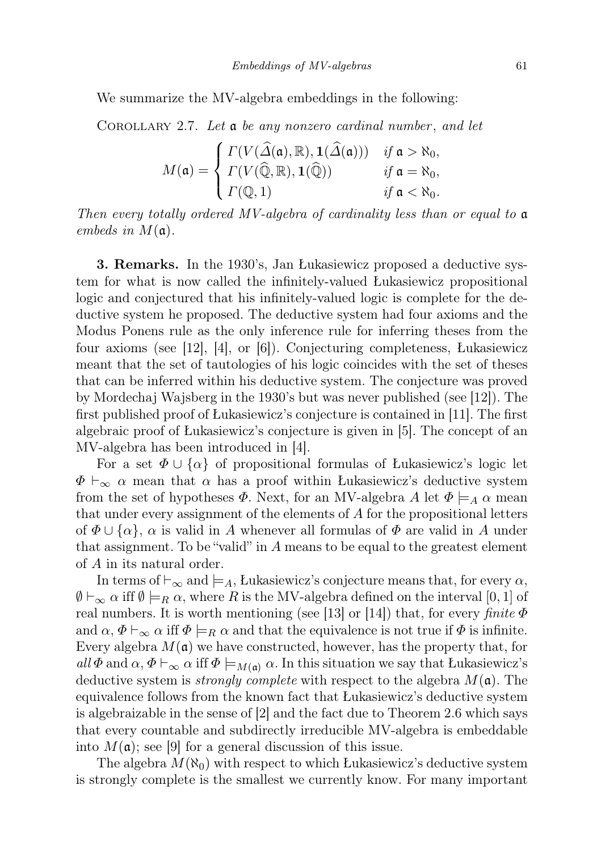We summarize the MV-algebra embeddings in the following:

COROLLARY 2.7. Let  $a$  be any nonzero cardinal number, and let

$$
M(\mathfrak{a}) = \begin{cases} \Gamma(V(\widehat{\Delta}(\mathfrak{a}), \mathbb{R}), \mathbf{1}(\widehat{\Delta}(\mathfrak{a}))) & \text{if } \mathfrak{a} > \aleph_0, \\ \Gamma(V(\widehat{\mathbb{Q}}, \mathbb{R}), \mathbf{1}(\widehat{\mathbb{Q}})) & \text{if } \mathfrak{a} = \aleph_0, \\ \Gamma(\mathbb{Q}, 1) & \text{if } \mathfrak{a} < \aleph_0. \end{cases}
$$

Then every totally ordered MV-algebra of cardinality less than or equal to a embeds in  $M(\mathfrak{a})$ .

3. Remarks. In the 1930's, Jan Łukasiewicz proposed a deductive system for what is now called the infinitely-valued Łukasiewicz propositional logic and conjectured that his infinitely-valued logic is complete for the deductive system he proposed. The deductive system had four axioms and the Modus Ponens rule as the only inference rule for inferring theses from the four axioms (see [12], [4], or [6]). Conjecturing completeness, Łukasiewicz meant that the set of tautologies of his logic coincides with the set of theses that can be inferred within his deductive system. The conjecture was proved by Mordechaj Wajsberg in the 1930's but was never published (see [12]). The first published proof of Łukasiewicz's conjecture is contained in [11]. The first algebraic proof of Łukasiewicz's conjecture is given in [5]. The concept of an MV-algebra has been introduced in [4].

For a set  $\Phi \cup \{\alpha\}$  of propositional formulas of Łukasiewicz's logic let  $\Phi \vdash_{\infty} \alpha$  mean that  $\alpha$  has a proof within Lukasiewicz's deductive system from the set of hypotheses  $\Phi$ . Next, for an MV-algebra A let  $\Phi \models_A \alpha$  mean that under every assignment of the elements of A for the propositional letters of  $\Phi \cup {\alpha}$ ,  $\alpha$  is valid in A whenever all formulas of  $\Phi$  are valid in A under that assignment. To be "valid" in A means to be equal to the greatest element of A in its natural order.

In terms of  $\vdash_{\infty}$  and  $\models_A$ , Lukasiewicz's conjecture means that, for every  $\alpha$ ,  $\emptyset \vdash_{\infty} \alpha$  iff  $\emptyset \models_R \alpha$ , where R is the MV-algebra defined on the interval [0, 1] of real numbers. It is worth mentioning (see [13] or [14]) that, for every finite  $\Phi$ and  $\alpha$ ,  $\Phi \vdash_{\infty} \alpha$  iff  $\Phi \models_R \alpha$  and that the equivalence is not true if  $\Phi$  is infinite. Every algebra  $M(\mathfrak{a})$  we have constructed, however, has the property that, for all  $\Phi$  and  $\alpha$ ,  $\Phi \vdash_{\infty} \alpha$  iff  $\Phi \models_{M(\mathfrak{a})} \alpha$ . In this situation we say that Łukasiewicz's deductive system is *strongly complete* with respect to the algebra  $M(\mathfrak{a})$ . The equivalence follows from the known fact that Łukasiewicz's deductive system is algebraizable in the sense of [2] and the fact due to Theorem 2.6 which says that every countable and subdirectly irreducible MV-algebra is embeddable into  $M(\mathfrak{a})$ ; see [9] for a general discussion of this issue.

The algebra  $M(\aleph_0)$  with respect to which Lukasiewicz's deductive system is strongly complete is the smallest we currently know. For many important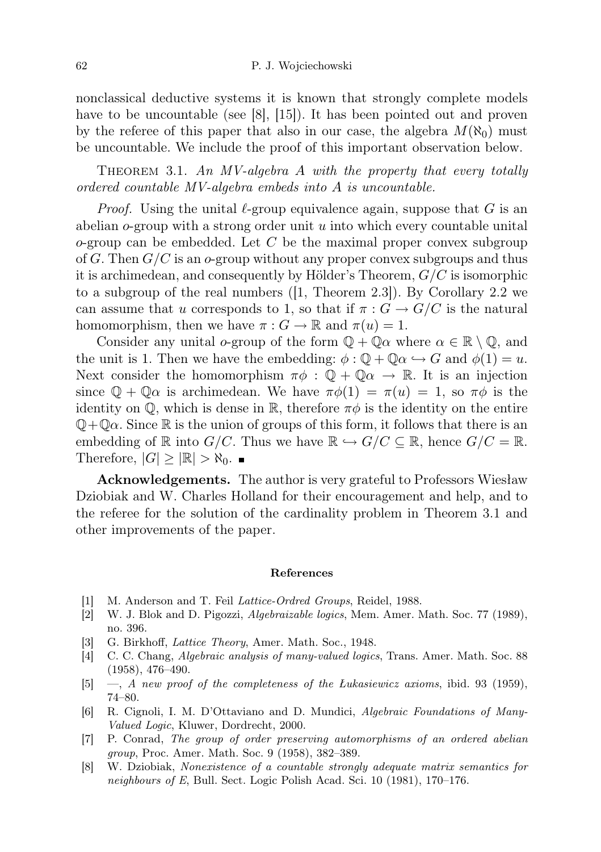nonclassical deductive systems it is known that strongly complete models have to be uncountable (see [8], [15]). It has been pointed out and proven by the referee of this paper that also in our case, the algebra  $M(\aleph_0)$  must be uncountable. We include the proof of this important observation below.

THEOREM 3.1. An MV-algebra A with the property that every totally ordered countable MV-algebra embeds into A is uncountable.

*Proof.* Using the unital  $\ell$ -group equivalence again, suppose that G is an abelian  $o$ -group with a strong order unit u into which every countable unital  $o$ -group can be embedded. Let C be the maximal proper convex subgroup of G. Then  $G/C$  is an o-group without any proper convex subgroups and thus it is archimedean, and consequently by Hölder's Theorem,  $G/C$  is isomorphic to a subgroup of the real numbers ([1, Theorem 2.3]). By Corollary 2.2 we can assume that u corresponds to 1, so that if  $\pi : G \to G/C$  is the natural homomorphism, then we have  $\pi: G \to \mathbb{R}$  and  $\pi(u) = 1$ .

Consider any unital o-group of the form  $\mathbb{Q} + \mathbb{Q}\alpha$  where  $\alpha \in \mathbb{R} \setminus \mathbb{Q}$ , and the unit is 1. Then we have the embedding:  $\phi : \mathbb{Q} + \mathbb{Q}\alpha \hookrightarrow G$  and  $\phi(1) = u$ . Next consider the homomorphism  $\pi \phi : \mathbb{Q} + \mathbb{Q} \alpha \to \mathbb{R}$ . It is an injection since  $\mathbb{Q} + \mathbb{Q}\alpha$  is archimedean. We have  $\pi\phi(1) = \pi(u) = 1$ , so  $\pi\phi$  is the identity on  $\mathbb{Q}$ , which is dense in  $\mathbb{R}$ , therefore  $\pi\phi$  is the identity on the entire  $\mathbb{Q} + \mathbb{Q}\alpha$ . Since R is the union of groups of this form, it follows that there is an embedding of R into  $G/C$ . Thus we have  $\mathbb{R} \hookrightarrow G/C \subseteq \mathbb{R}$ , hence  $G/C = \mathbb{R}$ . Therefore,  $|G| \geq |\mathbb{R}| > \aleph_0$ .

Acknowledgements. The author is very grateful to Professors Wiesław Dziobiak and W. Charles Holland for their encouragement and help, and to the referee for the solution of the cardinality problem in Theorem 3.1 and other improvements of the paper.

#### References

- [1] M. Anderson and T. Feil *Lattice-Ordred Groups*, Reidel, 1988.
- [2] W. J. Blok and D. Pigozzi, Algebraizable logics, Mem. Amer. Math. Soc. 77 (1989), no. 396.
- [3] G. Birkhoff, Lattice Theory, Amer. Math. Soc., 1948.
- [4] C. C. Chang, Algebraic analysis of many-valued logics, Trans. Amer. Math. Soc. 88 (1958), 476–490.
- [5] —, A new proof of the completeness of the *Lukasiewicz axioms*, ibid. 93 (1959), 74–80.
- [6] R. Cignoli, I. M. D'Ottaviano and D. Mundici, Algebraic Foundations of Many-Valued Logic, Kluwer, Dordrecht, 2000.
- [7] P. Conrad, The group of order preserving automorphisms of an ordered abelian group, Proc. Amer. Math. Soc. 9 (1958), 382–389.
- [8] W. Dziobiak, Nonexistence of a countable strongly adequate matrix semantics for neighbours of E, Bull. Sect. Logic Polish Acad. Sci. 10 (1981), 170–176.